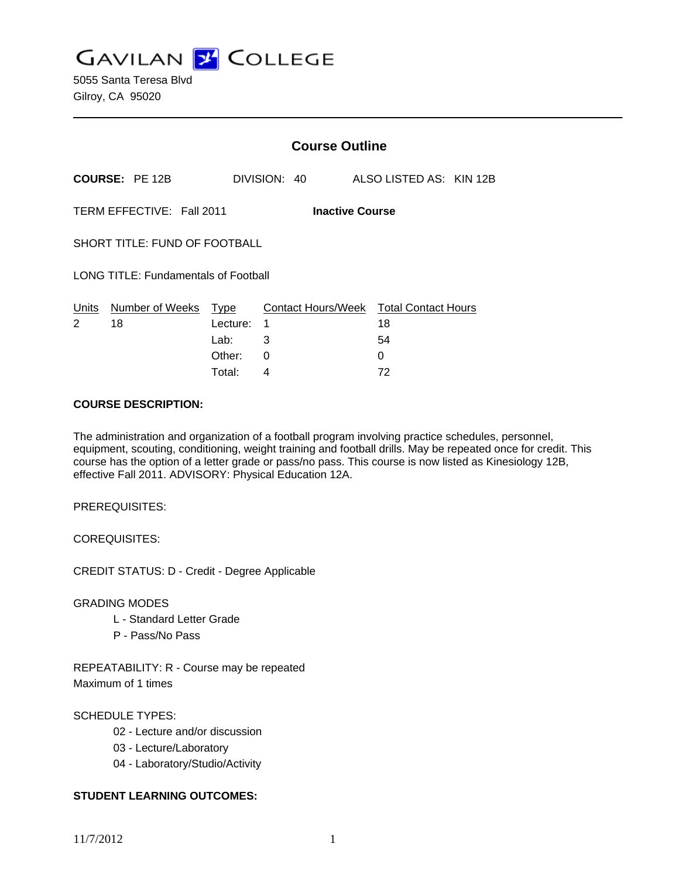**GAVILAN J COLLEGE** 

|                                                     |                       | <b>Course Outline</b> |   |              |  |                                              |  |  |
|-----------------------------------------------------|-----------------------|-----------------------|---|--------------|--|----------------------------------------------|--|--|
|                                                     | <b>COURSE: PE 12B</b> |                       |   | DIVISION: 40 |  | ALSO LISTED AS: KIN 12B                      |  |  |
| TERM EFFECTIVE: Fall 2011<br><b>Inactive Course</b> |                       |                       |   |              |  |                                              |  |  |
| SHORT TITLE: FUND OF FOOTBALL                       |                       |                       |   |              |  |                                              |  |  |
| <b>LONG TITLE: Fundamentals of Football</b>         |                       |                       |   |              |  |                                              |  |  |
| Units<br>2                                          | Number of Weeks<br>18 | Type<br>Lecture:      | 1 |              |  | Contact Hours/Week Total Contact Hours<br>18 |  |  |
|                                                     |                       | Lab:                  | 3 |              |  | 54                                           |  |  |
|                                                     |                       | Other:                | 0 |              |  | 0                                            |  |  |
|                                                     |                       | Total:                | 4 |              |  | 72                                           |  |  |

### **COURSE DESCRIPTION:**

The administration and organization of a football program involving practice schedules, personnel, equipment, scouting, conditioning, weight training and football drills. May be repeated once for credit. This course has the option of a letter grade or pass/no pass. This course is now listed as Kinesiology 12B, effective Fall 2011. ADVISORY: Physical Education 12A.

PREREQUISITES:

COREQUISITES:

CREDIT STATUS: D - Credit - Degree Applicable

GRADING MODES

- L Standard Letter Grade
- P Pass/No Pass

REPEATABILITY: R - Course may be repeated Maximum of 1 times

# SCHEDULE TYPES:

- 02 Lecture and/or discussion
- 03 Lecture/Laboratory
- 04 Laboratory/Studio/Activity

# **STUDENT LEARNING OUTCOMES:**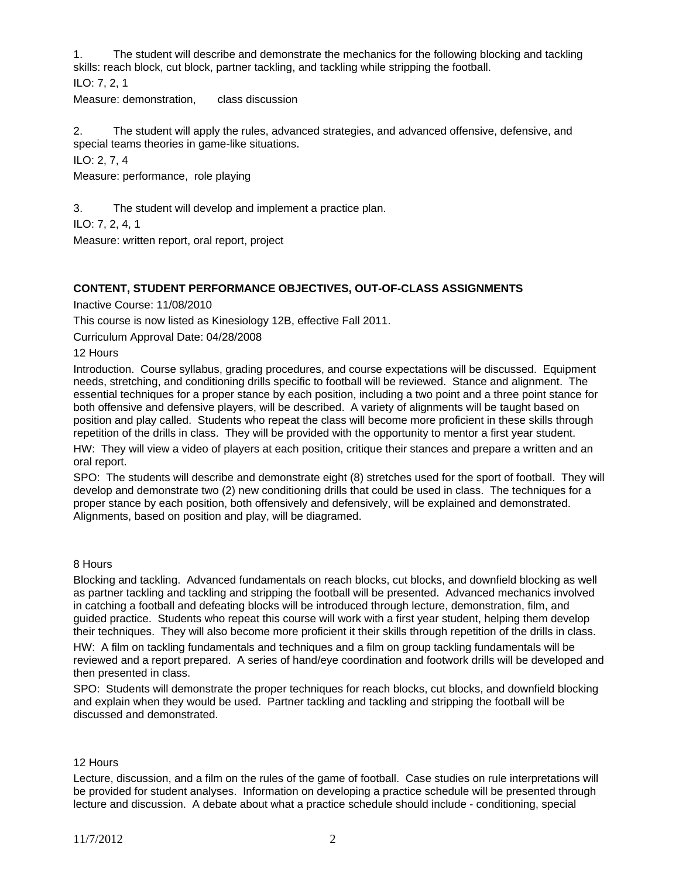1. The student will describe and demonstrate the mechanics for the following blocking and tackling skills: reach block, cut block, partner tackling, and tackling while stripping the football.

ILO: 7, 2, 1

Measure: demonstration, class discussion

2. The student will apply the rules, advanced strategies, and advanced offensive, defensive, and special teams theories in game-like situations.

ILO: 2, 7, 4

Measure: performance, role playing

3. The student will develop and implement a practice plan.

ILO: 7, 2, 4, 1

Measure: written report, oral report, project

# **CONTENT, STUDENT PERFORMANCE OBJECTIVES, OUT-OF-CLASS ASSIGNMENTS**

Inactive Course: 11/08/2010

This course is now listed as Kinesiology 12B, effective Fall 2011.

Curriculum Approval Date: 04/28/2008

12 Hours

Introduction. Course syllabus, grading procedures, and course expectations will be discussed. Equipment needs, stretching, and conditioning drills specific to football will be reviewed. Stance and alignment. The essential techniques for a proper stance by each position, including a two point and a three point stance for both offensive and defensive players, will be described. A variety of alignments will be taught based on position and play called. Students who repeat the class will become more proficient in these skills through repetition of the drills in class. They will be provided with the opportunity to mentor a first year student.

HW: They will view a video of players at each position, critique their stances and prepare a written and an oral report.

SPO: The students will describe and demonstrate eight (8) stretches used for the sport of football. They will develop and demonstrate two (2) new conditioning drills that could be used in class. The techniques for a proper stance by each position, both offensively and defensively, will be explained and demonstrated. Alignments, based on position and play, will be diagramed.

# 8 Hours

Blocking and tackling. Advanced fundamentals on reach blocks, cut blocks, and downfield blocking as well as partner tackling and tackling and stripping the football will be presented. Advanced mechanics involved in catching a football and defeating blocks will be introduced through lecture, demonstration, film, and guided practice. Students who repeat this course will work with a first year student, helping them develop their techniques. They will also become more proficient it their skills through repetition of the drills in class.

HW: A film on tackling fundamentals and techniques and a film on group tackling fundamentals will be reviewed and a report prepared. A series of hand/eye coordination and footwork drills will be developed and then presented in class.

SPO: Students will demonstrate the proper techniques for reach blocks, cut blocks, and downfield blocking and explain when they would be used. Partner tackling and tackling and stripping the football will be discussed and demonstrated.

#### 12 Hours

Lecture, discussion, and a film on the rules of the game of football. Case studies on rule interpretations will be provided for student analyses. Information on developing a practice schedule will be presented through lecture and discussion. A debate about what a practice schedule should include - conditioning, special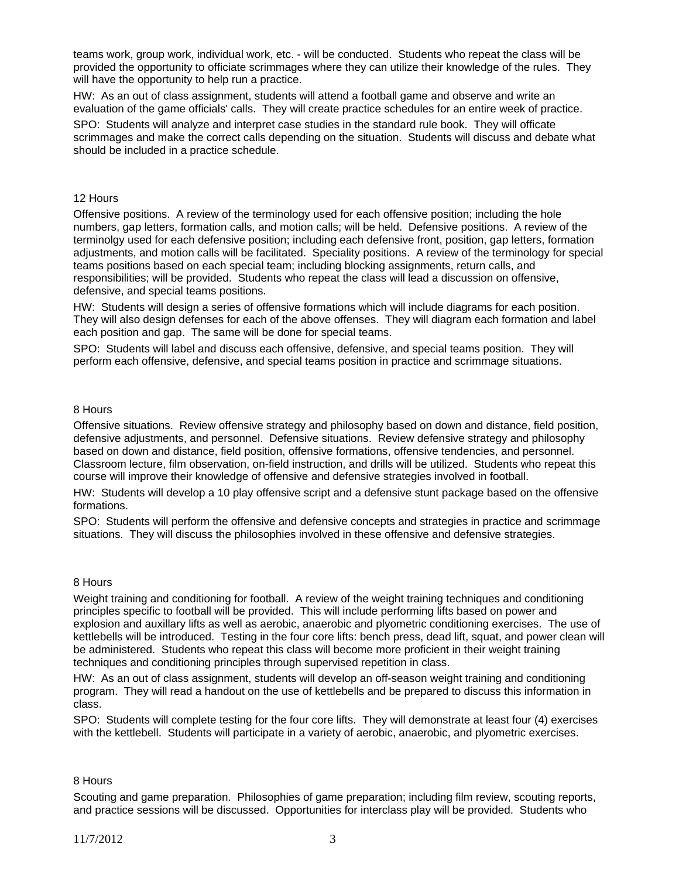teams work, group work, individual work, etc. - will be conducted. Students who repeat the class will be provided the opportunity to officiate scrimmages where they can utilize their knowledge of the rules. They will have the opportunity to help run a practice.

HW: As an out of class assignment, students will attend a football game and observe and write an evaluation of the game officials' calls. They will create practice schedules for an entire week of practice.

SPO: Students will analyze and interpret case studies in the standard rule book. They will officate scrimmages and make the correct calls depending on the situation. Students will discuss and debate what should be included in a practice schedule.

### 12 Hours

Offensive positions. A review of the terminology used for each offensive position; including the hole numbers, gap letters, formation calls, and motion calls; will be held. Defensive positions. A review of the terminolgy used for each defensive position; including each defensive front, position, gap letters, formation adjustments, and motion calls will be facilitated. Speciality positions. A review of the terminology for special teams positions based on each special team; including blocking assignments, return calls, and responsibilities; will be provided. Students who repeat the class will lead a discussion on offensive, defensive, and special teams positions.

HW: Students will design a series of offensive formations which will include diagrams for each position. They will also design defenses for each of the above offenses. They will diagram each formation and label each position and gap. The same will be done for special teams.

SPO: Students will label and discuss each offensive, defensive, and special teams position. They will perform each offensive, defensive, and special teams position in practice and scrimmage situations.

### 8 Hours

Offensive situations. Review offensive strategy and philosophy based on down and distance, field position, defensive adjustments, and personnel. Defensive situations. Review defensive strategy and philosophy based on down and distance, field position, offensive formations, offensive tendencies, and personnel. Classroom lecture, film observation, on-field instruction, and drills will be utilized. Students who repeat this course will improve their knowledge of offensive and defensive strategies involved in football.

HW: Students will develop a 10 play offensive script and a defensive stunt package based on the offensive formations.

SPO: Students will perform the offensive and defensive concepts and strategies in practice and scrimmage situations. They will discuss the philosophies involved in these offensive and defensive strategies.

#### 8 Hours

Weight training and conditioning for football. A review of the weight training techniques and conditioning principles specific to football will be provided. This will include performing lifts based on power and explosion and auxillary lifts as well as aerobic, anaerobic and plyometric conditioning exercises. The use of kettlebells will be introduced. Testing in the four core lifts: bench press, dead lift, squat, and power clean will be administered. Students who repeat this class will become more proficient in their weight training techniques and conditioning principles through supervised repetition in class.

HW: As an out of class assignment, students will develop an off-season weight training and conditioning program. They will read a handout on the use of kettlebells and be prepared to discuss this information in class.

SPO: Students will complete testing for the four core lifts. They will demonstrate at least four (4) exercises with the kettlebell. Students will participate in a variety of aerobic, anaerobic, and plyometric exercises.

### 8 Hours

Scouting and game preparation. Philosophies of game preparation; including film review, scouting reports, and practice sessions will be discussed. Opportunities for interclass play will be provided. Students who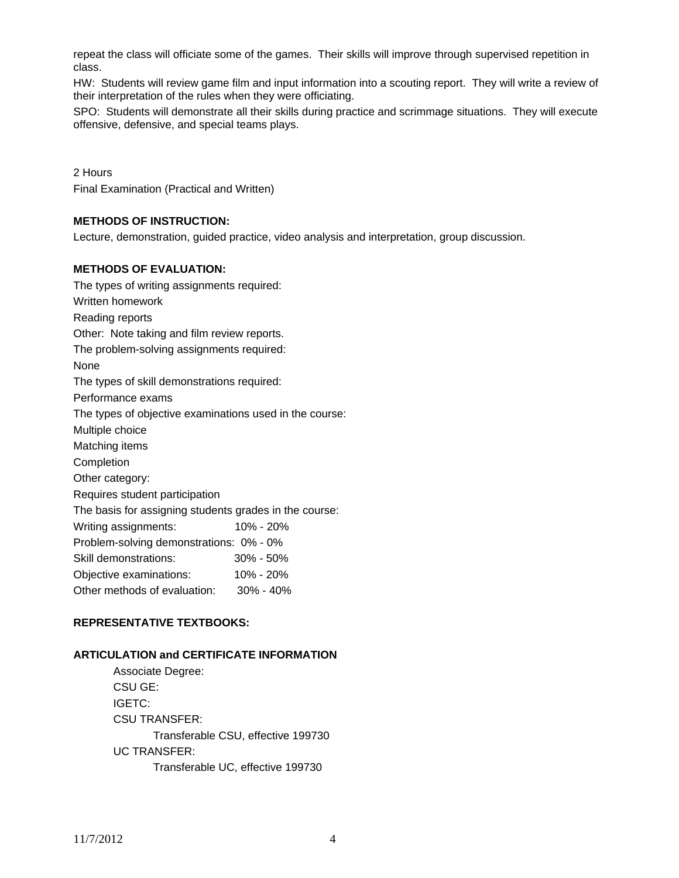repeat the class will officiate some of the games. Their skills will improve through supervised repetition in class.

HW: Students will review game film and input information into a scouting report. They will write a review of their interpretation of the rules when they were officiating.

SPO: Students will demonstrate all their skills during practice and scrimmage situations. They will execute offensive, defensive, and special teams plays.

2 Hours Final Examination (Practical and Written)

# **METHODS OF INSTRUCTION:**

Lecture, demonstration, guided practice, video analysis and interpretation, group discussion.

### **METHODS OF EVALUATION:**

| The types of writing assignments required:              |               |  |  |  |  |  |
|---------------------------------------------------------|---------------|--|--|--|--|--|
| Written homework                                        |               |  |  |  |  |  |
| Reading reports                                         |               |  |  |  |  |  |
| Other: Note taking and film review reports.             |               |  |  |  |  |  |
| The problem-solving assignments required:               |               |  |  |  |  |  |
| None                                                    |               |  |  |  |  |  |
| The types of skill demonstrations required:             |               |  |  |  |  |  |
| Performance exams                                       |               |  |  |  |  |  |
| The types of objective examinations used in the course: |               |  |  |  |  |  |
| Multiple choice                                         |               |  |  |  |  |  |
| Matching items                                          |               |  |  |  |  |  |
| Completion                                              |               |  |  |  |  |  |
| Other category:                                         |               |  |  |  |  |  |
| Requires student participation                          |               |  |  |  |  |  |
| The basis for assigning students grades in the course:  |               |  |  |  |  |  |
| Writing assignments:                                    | 10% - 20%     |  |  |  |  |  |
| Problem-solving demonstrations: 0% - 0%                 |               |  |  |  |  |  |
| Skill demonstrations:                                   | $30\% - 50\%$ |  |  |  |  |  |
| Objective examinations:                                 | 10% - 20%     |  |  |  |  |  |
| Other methods of evaluation: 30% - 40%                  |               |  |  |  |  |  |

# **REPRESENTATIVE TEXTBOOKS:**

# **ARTICULATION and CERTIFICATE INFORMATION**

 Associate Degree: CSU GE: IGETC: CSU TRANSFER: Transferable CSU, effective 199730 UC TRANSFER: Transferable UC, effective 199730